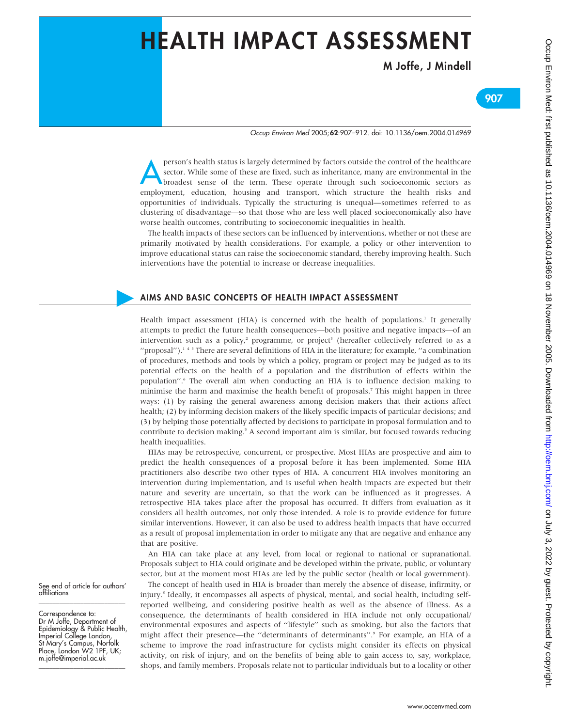# HEALTH IMPACT ASSESSMENT

M Joffe, J Mindell

907

#### Occup Environ Med 2005;62:907–912. doi: 10.1136/oem.2004.014969

person's health status is largely determined by factors outside the control of the healthcare<br>sector. While some of these are fixed, such as inheritance, many are environmental in the<br>broadest sense of the term. These oper sector. While some of these are fixed, such as inheritance, many are environmental in the employment, education, housing and transport, which structure the health risks and opportunities of individuals. Typically the structuring is unequal—sometimes referred to as clustering of disadvantage—so that those who are less well placed socioeconomically also have worse health outcomes, contributing to socioeconomic inequalities in health.

The health impacts of these sectors can be influenced by interventions, whether or not these are primarily motivated by health considerations. For example, a policy or other intervention to improve educational status can raise the socioeconomic standard, thereby improving health. Such interventions have the potential to increase or decrease inequalities.

# AIMS AND BASIC CONCEPTS OF HEALTH IMPACT ASSESSMENT

Health impact assessment (HIA) is concerned with the health of populations.<sup>1</sup> It generally attempts to predict the future health consequences—both positive and negative impacts—of an intervention such as a policy,<sup>2</sup> programme, or project<sup>3</sup> (hereafter collectively referred to as a "proposal").<sup>145</sup> There are several definitions of HIA in the literature; for example, "a combination" of procedures, methods and tools by which a policy, program or project may be judged as to its potential effects on the health of a population and the distribution of effects within the population''.6 The overall aim when conducting an HIA is to influence decision making to minimise the harm and maximise the health benefit of proposals.7 This might happen in three ways: (1) by raising the general awareness among decision makers that their actions affect health; (2) by informing decision makers of the likely specific impacts of particular decisions; and (3) by helping those potentially affected by decisions to participate in proposal formulation and to contribute to decision making.<sup>5</sup> A second important aim is similar, but focused towards reducing health inequalities.

HIAs may be retrospective, concurrent, or prospective. Most HIAs are prospective and aim to predict the health consequences of a proposal before it has been implemented. Some HIA practitioners also describe two other types of HIA. A concurrent HIA involves monitoring an intervention during implementation, and is useful when health impacts are expected but their nature and severity are uncertain, so that the work can be influenced as it progresses. A retrospective HIA takes place after the proposal has occurred. It differs from evaluation as it considers all health outcomes, not only those intended. A role is to provide evidence for future similar interventions. However, it can also be used to address health impacts that have occurred as a result of proposal implementation in order to mitigate any that are negative and enhance any that are positive.

An HIA can take place at any level, from local or regional to national or supranational. Proposals subject to HIA could originate and be developed within the private, public, or voluntary sector, but at the moment most HIAs are led by the public sector (health or local government).

The concept of health used in HIA is broader than merely the absence of disease, infirmity, or injury.<sup>8</sup> Ideally, it encompasses all aspects of physical, mental, and social health, including selfreported wellbeing, and considering positive health as well as the absence of illness. As a consequence, the determinants of health considered in HIA include not only occupational/ environmental exposures and aspects of ''lifestyle'' such as smoking, but also the factors that might affect their presence—the "determinants of determinants".<sup>9</sup> For example, an HIA of a scheme to improve the road infrastructure for cyclists might consider its effects on physical activity, on risk of injury, and on the benefits of being able to gain access to, say, workplace, shops, and family members. Proposals relate not to particular individuals but to a locality or other

See end of article for authors' affiliations \_\_\_\_\_\_\_\_\_\_\_\_\_\_\_\_\_\_\_\_\_\_\_\_\_

Correspondence to: Dr M Joffe, Department of Epidemiology & Public Health, Imperial College London, St Mary's Campus, Norfolk Place, London W2 1PF, UK; m.joffe@imperial.ac.uk \_\_\_\_\_\_\_\_\_\_\_\_\_\_\_\_\_\_\_\_\_\_\_\_\_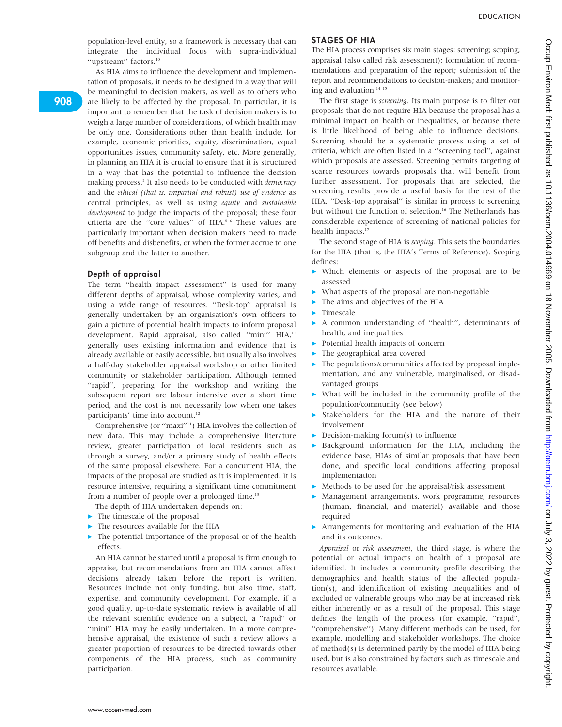population-level entity, so a framework is necessary that can integrate the individual focus with supra-individual "upstream" factors.<sup>10</sup>

# 908

As HIA aims to influence the development and implementation of proposals, it needs to be designed in a way that will be meaningful to decision makers, as well as to others who are likely to be affected by the proposal. In particular, it is important to remember that the task of decision makers is to weigh a large number of considerations, of which health may be only one. Considerations other than health include, for example, economic priorities, equity, discrimination, equal opportunities issues, community safety, etc. More generally, in planning an HIA it is crucial to ensure that it is structured in a way that has the potential to influence the decision making process.<sup>5</sup> It also needs to be conducted with *democracy* and the ethical (that is, impartial and robust) use of evidence as central principles, as well as using equity and sustainable development to judge the impacts of the proposal; these four criteria are the "core values" of HIA.<sup>5 6</sup> These values are particularly important when decision makers need to trade off benefits and disbenefits, or when the former accrue to one subgroup and the latter to another.

#### Depth of appraisal

The term "health impact assessment" is used for many different depths of appraisal, whose complexity varies, and using a wide range of resources. ''Desk-top'' appraisal is generally undertaken by an organisation's own officers to gain a picture of potential health impacts to inform proposal development. Rapid appraisal, also called "mini" HIA,<sup>11</sup> generally uses existing information and evidence that is already available or easily accessible, but usually also involves a half-day stakeholder appraisal workshop or other limited community or stakeholder participation. Although termed ''rapid'', preparing for the workshop and writing the subsequent report are labour intensive over a short time period, and the cost is not necessarily low when one takes participants' time into account.<sup>12</sup>

Comprehensive (or ''maxi''11) HIA involves the collection of new data. This may include a comprehensive literature review, greater participation of local residents such as through a survey, and/or a primary study of health effects of the same proposal elsewhere. For a concurrent HIA, the impacts of the proposal are studied as it is implemented. It is resource intensive, requiring a significant time commitment from a number of people over a prolonged time.<sup>13</sup>

The depth of HIA undertaken depends on:

- $\blacktriangleright$  The timescale of the proposal
- $\blacktriangleright$  The resources available for the HIA
- $\blacktriangleright$  The potential importance of the proposal or of the health effects.

An HIA cannot be started until a proposal is firm enough to appraise, but recommendations from an HIA cannot affect decisions already taken before the report is written. Resources include not only funding, but also time, staff, expertise, and community development. For example, if a good quality, up-to-date systematic review is available of all the relevant scientific evidence on a subject, a ''rapid'' or "mini" HIA may be easily undertaken. In a more comprehensive appraisal, the existence of such a review allows a greater proportion of resources to be directed towards other components of the HIA process, such as community participation.

# STAGES OF HIA

The HIA process comprises six main stages: screening; scoping; appraisal (also called risk assessment); formulation of recommendations and preparation of the report; submission of the report and recommendations to decision-makers; and monitoring and evaluation.<sup>14 15</sup>

The first stage is screening. Its main purpose is to filter out proposals that do not require HIA because the proposal has a minimal impact on health or inequalities, or because there is little likelihood of being able to influence decisions. Screening should be a systematic process using a set of criteria, which are often listed in a ''screening tool'', against which proposals are assessed. Screening permits targeting of scarce resources towards proposals that will benefit from further assessment. For proposals that are selected, the screening results provide a useful basis for the rest of the HIA. ''Desk-top appraisal'' is similar in process to screening but without the function of selection.<sup>16</sup> The Netherlands has considerable experience of screening of national policies for health impacts.<sup>17</sup>

The second stage of HIA is scoping. This sets the boundaries for the HIA (that is, the HIA's Terms of Reference). Scoping defines:

- Which elements or aspects of the proposal are to be assessed
- What aspects of the proposal are non-negotiable
	- The aims and objectives of the HIA
- Timescale
- c A common understanding of ''health'', determinants of health, and inequalities
- Potential health impacts of concern
- The geographical area covered
- The populations/communities affected by proposal implementation, and any vulnerable, marginalised, or disadvantaged groups
- What will be included in the community profile of the population/community (see below)
- Stakeholders for the HIA and the nature of their involvement
- Decision-making forum(s) to influence
- Background information for the HIA, including the evidence base, HIAs of similar proposals that have been done, and specific local conditions affecting proposal implementation
- c Methods to be used for the appraisal/risk assessment
- Management arrangements, work programme, resources (human, financial, and material) available and those required
- Arrangements for monitoring and evaluation of the HIA and its outcomes.

Appraisal or risk assessment, the third stage, is where the potential or actual impacts on health of a proposal are identified. It includes a community profile describing the demographics and health status of the affected population(s), and identification of existing inequalities and of excluded or vulnerable groups who may be at increased risk either inherently or as a result of the proposal. This stage defines the length of the process (for example, ''rapid'', ''comprehensive''). Many different methods can be used, for example, modelling and stakeholder workshops. The choice of method(s) is determined partly by the model of HIA being used, but is also constrained by factors such as timescale and resources available.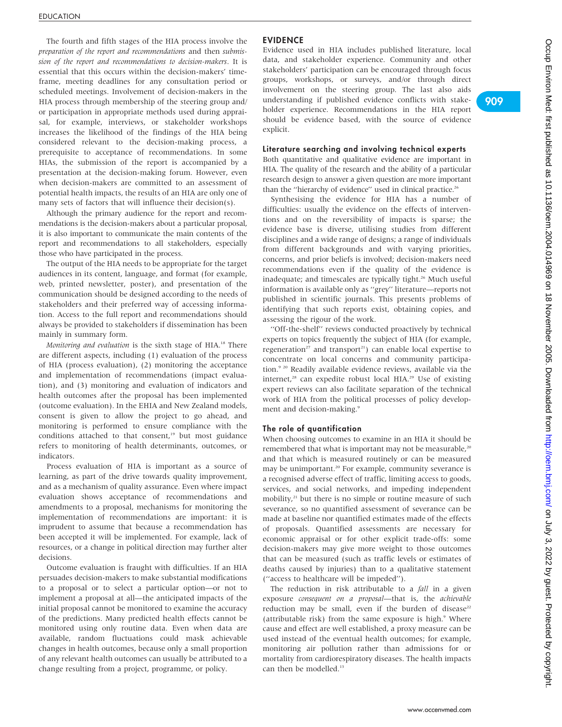The fourth and fifth stages of the HIA process involve the preparation of the report and recommendations and then submission of the report and recommendations to decision-makers. It is essential that this occurs within the decision-makers' timeframe, meeting deadlines for any consultation period or scheduled meetings. Involvement of decision-makers in the HIA process through membership of the steering group and/ or participation in appropriate methods used during appraisal, for example, interviews, or stakeholder workshops increases the likelihood of the findings of the HIA being considered relevant to the decision-making process, a prerequisite to acceptance of recommendations. In some HIAs, the submission of the report is accompanied by a presentation at the decision-making forum. However, even when decision-makers are committed to an assessment of potential health impacts, the results of an HIA are only one of many sets of factors that will influence their decision(s).

Although the primary audience for the report and recommendations is the decision-makers about a particular proposal, it is also important to communicate the main contents of the report and recommendations to all stakeholders, especially those who have participated in the process.

The output of the HIA needs to be appropriate for the target audiences in its content, language, and format (for example, web, printed newsletter, poster), and presentation of the communication should be designed according to the needs of stakeholders and their preferred way of accessing information. Access to the full report and recommendations should always be provided to stakeholders if dissemination has been mainly in summary form.

Monitoring and evaluation is the sixth stage of HIA.<sup>18</sup> There are different aspects, including (1) evaluation of the process of HIA (process evaluation), (2) monitoring the acceptance and implementation of recommendations (impact evaluation), and (3) monitoring and evaluation of indicators and health outcomes after the proposal has been implemented (outcome evaluation). In the EHIA and New Zealand models, consent is given to allow the project to go ahead, and monitoring is performed to ensure compliance with the conditions attached to that consent, $19$  but most guidance refers to monitoring of health determinants, outcomes, or indicators.

Process evaluation of HIA is important as a source of learning, as part of the drive towards quality improvement, and as a mechanism of quality assurance. Even where impact evaluation shows acceptance of recommendations and amendments to a proposal, mechanisms for monitoring the implementation of recommendations are important: it is imprudent to assume that because a recommendation has been accepted it will be implemented. For example, lack of resources, or a change in political direction may further alter decisions.

Outcome evaluation is fraught with difficulties. If an HIA persuades decision-makers to make substantial modifications to a proposal or to select a particular option—or not to implement a proposal at all—the anticipated impacts of the initial proposal cannot be monitored to examine the accuracy of the predictions. Many predicted health effects cannot be monitored using only routine data. Even when data are available, random fluctuations could mask achievable changes in health outcomes, because only a small proportion of any relevant health outcomes can usually be attributed to a change resulting from a project, programme, or policy.

# EVIDENCE

Evidence used in HIA includes published literature, local data, and stakeholder experience. Community and other stakeholders' participation can be encouraged through focus groups, workshops, or surveys, and/or through direct involvement on the steering group. The last also aids understanding if published evidence conflicts with stakeholder experience. Recommendations in the HIA report should be evidence based, with the source of evidence explicit.

# Literature searching and involving technical experts

Both quantitative and qualitative evidence are important in HIA. The quality of the research and the ability of a particular research design to answer a given question are more important than the "hierarchy of evidence" used in clinical practice.<sup>26</sup>

Synthesising the evidence for HIA has a number of difficulties: usually the evidence on the effects of interventions and on the reversibility of impacts is sparse; the evidence base is diverse, utilising studies from different disciplines and a wide range of designs; a range of individuals from different backgrounds and with varying priorities, concerns, and prior beliefs is involved; decision-makers need recommendations even if the quality of the evidence is inadequate; and timescales are typically tight.<sup>26</sup> Much useful information is available only as ''grey'' literature—reports not published in scientific journals. This presents problems of identifying that such reports exist, obtaining copies, and assessing the rigour of the work.

''Off-the-shelf'' reviews conducted proactively by technical experts on topics frequently the subject of HIA (for example, regeneration<sup>27</sup> and transport<sup>21</sup>) can enable local expertise to concentrate on local concerns and community participation.<sup>9 20</sup> Readily available evidence reviews, available via the internet,<sup>28</sup> can expedite robust local HIA.<sup>29</sup> Use of existing expert reviews can also facilitate separation of the technical work of HIA from the political processes of policy development and decision-making.<sup>9</sup>

#### The role of quantification

When choosing outcomes to examine in an HIA it should be remembered that what is important may not be measurable,<sup>20</sup> and that which is measured routinely or can be measured may be unimportant.<sup>20</sup> For example, community severance is a recognised adverse effect of traffic, limiting access to goods, services, and social networks, and impeding independent mobility, $21$  but there is no simple or routine measure of such severance, so no quantified assessment of severance can be made at baseline nor quantified estimates made of the effects of proposals. Quantified assessments are necessary for economic appraisal or for other explicit trade-offs: some decision-makers may give more weight to those outcomes that can be measured (such as traffic levels or estimates of deaths caused by injuries) than to a qualitative statement (''access to healthcare will be impeded'').

The reduction in risk attributable to a *fall* in a given exposure consequent on a proposal—that is, the achievable reduction may be small, even if the burden of disease<sup>22</sup> (attributable risk) from the same exposure is high.<sup>9</sup> Where cause and effect are well established, a proxy measure can be used instead of the eventual health outcomes; for example, monitoring air pollution rather than admissions for or mortality from cardiorespiratory diseases. The health impacts can then be modelled.<sup>13</sup>

909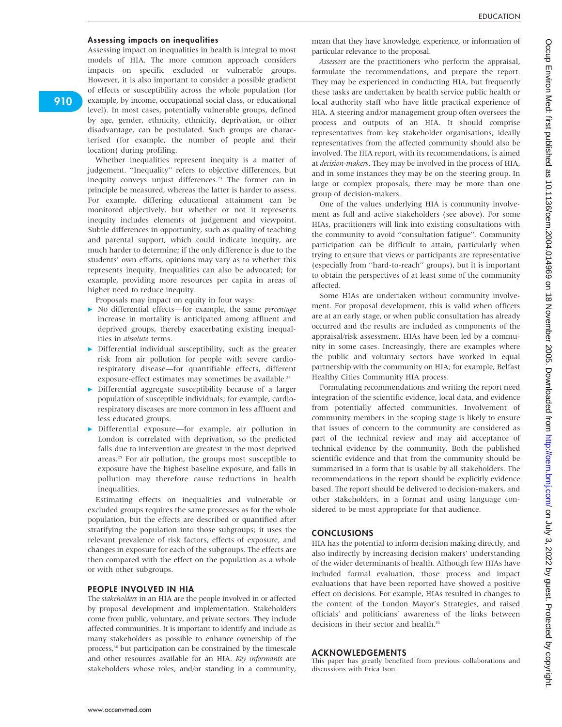#### Assessing impacts on inequalities

Assessing impact on inequalities in health is integral to most models of HIA. The more common approach considers impacts on specific excluded or vulnerable groups. However, it is also important to consider a possible gradient of effects or susceptibility across the whole population (for example, by income, occupational social class, or educational level). In most cases, potentially vulnerable groups, defined by age, gender, ethnicity, ethnicity, deprivation, or other disadvantage, can be postulated. Such groups are characterised (for example, the number of people and their location) during profiling.

Whether inequalities represent inequity is a matter of judgement. ''Inequality'' refers to objective differences, but inequity conveys unjust differences.<sup>23</sup> The former can in principle be measured, whereas the latter is harder to assess. For example, differing educational attainment can be monitored objectively, but whether or not it represents inequity includes elements of judgement and viewpoint. Subtle differences in opportunity, such as quality of teaching and parental support, which could indicate inequity, are much harder to determine; if the only difference is due to the students' own efforts, opinions may vary as to whether this represents inequity. Inequalities can also be advocated; for example, providing more resources per capita in areas of higher need to reduce inequity.

Proposals may impact on equity in four ways:

- No differential effects—for example, the same *percentage* increase in mortality is anticipated among affluent and deprived groups, thereby exacerbating existing inequalities in absolute terms.
- $\triangleright$  Differential individual susceptibility, such as the greater risk from air pollution for people with severe cardiorespiratory disease—for quantifiable effects, different exposure-effect estimates may sometimes be available.<sup>24</sup>
- $\triangleright$  Differential aggregate susceptibility because of a larger population of susceptible individuals; for example, cardiorespiratory diseases are more common in less affluent and less educated groups.
- $\triangleright$  Differential exposure—for example, air pollution in London is correlated with deprivation, so the predicted falls due to intervention are greatest in the most deprived areas.25 For air pollution, the groups most susceptible to exposure have the highest baseline exposure, and falls in pollution may therefore cause reductions in health inequalities.

Estimating effects on inequalities and vulnerable or excluded groups requires the same processes as for the whole population, but the effects are described or quantified after stratifying the population into those subgroups; it uses the relevant prevalence of risk factors, effects of exposure, and changes in exposure for each of the subgroups. The effects are then compared with the effect on the population as a whole or with other subgroups.

### PEOPLE INVOLVED IN HIA

The stakeholders in an HIA are the people involved in or affected by proposal development and implementation. Stakeholders come from public, voluntary, and private sectors. They include affected communities. It is important to identify and include as many stakeholders as possible to enhance ownership of the process,<sup>30</sup> but participation can be constrained by the timescale and other resources available for an HIA. Key informants are stakeholders whose roles, and/or standing in a community, mean that they have knowledge, experience, or information of particular relevance to the proposal.

Assessors are the practitioners who perform the appraisal, formulate the recommendations, and prepare the report. They may be experienced in conducting HIA, but frequently these tasks are undertaken by health service public health or local authority staff who have little practical experience of HIA. A steering and/or management group often oversees the process and outputs of an HIA. It should comprise representatives from key stakeholder organisations; ideally representatives from the affected community should also be involved. The HIA report, with its recommendations, is aimed at decision-makers. They may be involved in the process of HIA, and in some instances they may be on the steering group. In large or complex proposals, there may be more than one group of decision-makers.

One of the values underlying HIA is community involvement as full and active stakeholders (see above). For some HIAs, practitioners will link into existing consultations with the community to avoid ''consultation fatigue''. Community participation can be difficult to attain, particularly when trying to ensure that views or participants are representative (especially from ''hard-to-reach'' groups), but it is important to obtain the perspectives of at least some of the community affected.

Some HIAs are undertaken without community involvement. For proposal development, this is valid when officers are at an early stage, or when public consultation has already occurred and the results are included as components of the appraisal/risk assessment. HIAs have been led by a community in some cases. Increasingly, there are examples where the public and voluntary sectors have worked in equal partnership with the community on HIA; for example, Belfast Healthy Cities Community HIA process.

Formulating recommendations and writing the report need integration of the scientific evidence, local data, and evidence from potentially affected communities. Involvement of community members in the scoping stage is likely to ensure that issues of concern to the community are considered as part of the technical review and may aid acceptance of technical evidence by the community. Both the published scientific evidence and that from the community should be summarised in a form that is usable by all stakeholders. The recommendations in the report should be explicitly evidence based. The report should be delivered to decision-makers, and other stakeholders, in a format and using language considered to be most appropriate for that audience.

### CONCLUSIONS

HIA has the potential to inform decision making directly, and also indirectly by increasing decision makers' understanding of the wider determinants of health. Although few HIAs have included formal evaluation, those process and impact evaluations that have been reported have showed a positive effect on decisions. For example, HIAs resulted in changes to the content of the London Mayor's Strategies, and raised officials' and politicians' awareness of the links between decisions in their sector and health.<sup>31</sup>

#### ACKNOWLEDGEMENTS

This paper has greatly benefited from previous collaborations and discussions with Erica Ison.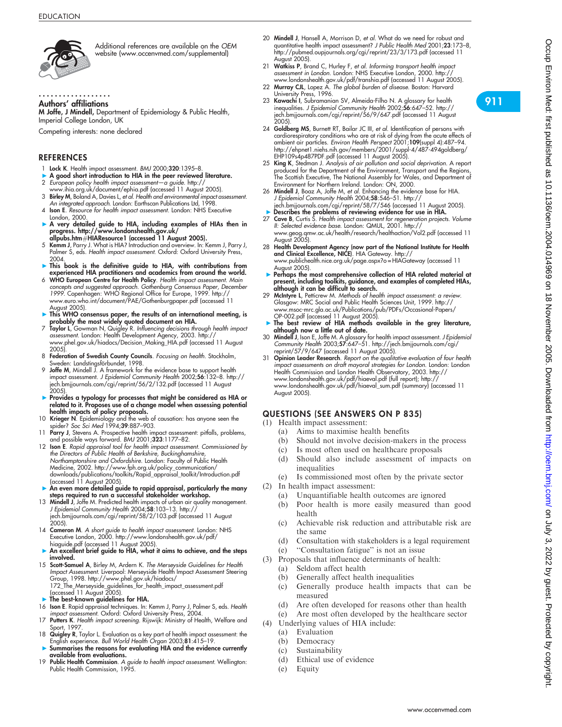

Additional references are available on the OEM website (www.occenvmed.com/supplemental)

#### Authors' affiliations ..................

M Joffe, J Mindell, Department of Epidemiology & Public Health,

Competing interests: none declared

### **REFERENCES**

- 1 Lock K. Health impact assessment. BMJ 2000;320:1395–8.
- A good short introduction to HIA in the peer reviewed literature.<br>2 European policy health impact assessment—a quide. http://
- 2 European policy health impact assessment—a guide. http:// www.ihia.org.uk/document/ephia.pdf (accessed 11 August 2005). 3 Birley M, Boland A, Davies L, et al. Health and environmental impact assessment.
- An integrated approach. London: Earthscan Publications Ltd, 1998. 4 Ison E. Resource for health impact assessment. London: NHS Executive
- London, 2000.
- c A very detailed guide to HIA, including examples of HIAs then in progress. http://www.londonshealth.gov.uk/ allpubs.htm#HIAResource1 (accessed 11 August 2005). 5 Kemm J, Parry J. What is HIA? Introduction and overview. In: Kemm J, Parry J,
- Palmer S, eds. Health impact assessment. Oxford: Oxford University Press, 2004.
- This book is the definitive guide to HIA, with contributions from experienced HIA practitioners and academics from around the world.
- 6 **WHO European Centre for Health Policy**. Health impact assessment. Main concepts and suggested approach. Gothenburg Consensus Paper, December<br>1999. Copenhagen: WHO Regional Office for Europe, 1999. http://<br>www.euro.who.i August 2005).
- This WHO consensus paper, the results of an international meeting, is probably the most widely quoted document on HIA.
- 7 Taylor L, Gowman N, Quigley R. Influencing decisions through health impact assessment. London: Health Development Agency, 2003. http:// www.phel.gov.uk/hiadocs/Decision\_Making\_HIA.pdf (accessed 11 August 2005).
- 8 **Federation of Swedish County Councils**. *Focusing on health.* Stockholm,<br>Sweden: Landstingsförbundet, 1998.
- 9 Joffe M, Mindell J. A framework for the evidence base to support health impact assessment. *J Epidemiol Community Health* 2002;**56**:132–8. http://<br>jech.bmjjournals.com/cgi/reprint/56/2/132.pdf (accessed 11 August<br>2005).
- Provides a typology for processes that might be considered as HIA or related to it. Proposes use of a change model when assessing potential
- health impacts of policy proposals. 10 Krieger N. Epidemiology and the web of causation: has anyone seen the spider? Soc Sci Med 1994;39:887–903.
- 11 **Parry J**, Stevens A. Prospective health impact assessment: pittalls, problems,<br>and possible ways forward. BMJ 2001;3**2**3:1177–82.<br>**Ison E**. Rapid appraisal tool for health impact assessment. Commissioned by<br>the Directo
- Northamptonshire and Oxfordshire. London: Faculty of Public Health Medicine, 2002. http://www.fph.org.uk/policy\_communication/ downloads/publications/toolkits/Rapid\_appraisal\_toolkit/Introduction.pdf (accessed 11 August 2005).
- An even more detailed guide to rapid appraisal, particularly the many
- steps required to run a successful stakeholder workshop.<br>13 Mindell J, Joffe M. Predicted health impacts of urban air quality management.<br>15 *J Epidemiol Community Health 2*004;58:103–13. http:// jech.bmjjournals.com/cgi/reprint/58/2/103.pdf (accessed 11 August 2005).
- 14 Cameron M. A short guide to health impact assessment. London: NHS Executive London, 2000. http://www.londonshealth.gov.uk/pdf/ hiaguide.pdf (accessed 11 August 2005).
- An excellent brief guide to HIA, what it aims to achieve, and the steps involved.
- 15 Scott-Samuel A, Birley M, Ardern K. The Merseyside Guidelines for Health Impact Assessment. Liverpool: Merseyside Health Impact Assessment Steering Group, 1998. http://www.phel.gov.uk/hiadocs/ 172\_The\_Merseyside\_guidelines\_for\_health\_impact\_assessment.pdf (accessed 11 August 2005).
- The best-known guidelines for HIA.
- 16 Ison E. Rapid appraisal techniques. In: Kemm J, Parry J, Palmer S, eds. Health impact assessment. Oxford: Oxford University Press, 2004.
- 17 Putters K. Health impact screening. Rijswijk: Ministry of Health, Welfare and Sport, 1997.
- 18 Quigley R, Taylor L. Evaluation as a key part of health impact assessment: the English experience. Bull World Health Organ 2003;81:415–19. Summarises the reasons for evaluating HIA and the evidence currently
- available from evaluations.
- 19 Public Health Commission. A guide to health impact assessment. Wellington: Public Health Commission, 1995.
- 20 Mindell J, Hansell A, Morrison D, et al. What do we need for robust and quantitative health impact assessment? J Public Health Med 2001;23:173–8, http://pubmed.oupjournals.org/cgi/reprint/23/3/173.pdf (accessed 11 August 2005).
- 21 Watkiss P, Brand C, Hurley F, et al. Informing transport health impact assessment in London. London: NHS Executive London, 2000. http:// www.londonshealth.gov.uk/pdf/transhia.pdf (accessed 11 August 2005). 22 Murray CJL, Lopez A. The global burden of disease. Boston: Harvard
- University Press, 1996.
- 23 Kawachi I, Subramanian SV, Almeida-Filho N. A glossary for health inequalities. J Epidemiol Community Health 2002;56:647–52. http:// jech.bmjjournals.com/cgi/reprint/56/9/647.pdf (accessed 11 August 2005).
- 24 Goldberg MS, Burnett RT, Bailar JC III, et al. Identification of persons with cardiorespiratory conditions who are at risk of dying from the acute effects of ambient air particles. Environ Health Perspect 2001;109(suppl 4):487-94. http://ehpnet1.niehs.nih.gov/members/2001/suppl-4/487-494goldberg/ EHP109s4p487PDF.pdf (accessed 11 August 2005).
- 25 King K, Stedman J. Analysis of air pollution and social deprivation. A report produced for the Department of the Environment, Transport and the Regions, The Scottish Executive, The National Assembly for Wales, and Department of Environment for Northern Ireland. London: ON, 2000.
- 26 Mindell J, Boaz A, Joffe M, et al. Enhancing the evidence base for HIA. J Epidemiol Community Health 2004;58:546–51. http://
- jech.bmjjournals.com/cgi/reprint/58/7/546 (accessed 11 August 2005). c Describes the problems of reviewing evidence for use in HIA.
- 27 Cave B, Curtis S. Health impact assessment for regeneration projects. Volume II: Selected evidence base. London: QMUL, 2001. http:// www.geog.qmw.ac.uk/health/research/healthaction/Vol2.pdf (accessed 11 August 2005).
- 28 Health Development Agency (now part of the National Institute for Health and Clinical Excellence, NICE). HIA Gateway. http:// www.publichealth.nice.org.uk/page.aspx?o = HIAGateway (accessed 11 August 2005).
- c Perhaps the most comprehensive collection of HIA related material at present, including toolkits, guidance, and examples of completed HIAs, although it can be difficult to search.
- McIntyre L, Petticrew M. Methods of health impact assessment: a review. Glasgow: MRC Social and Public Health Sciences Unit, 1999. http:// www.msoc-mrc.gla.ac.uk/Publications/pub/PDFs/Occasional-Papers/ OP-002.pdf (accessed 11 August 2005).
- The best review of HIA methods available in the grey literature,<br>although now a little out of date.<br>30 Mindel J, Ison E, Joffe M. A glossary for health impact assessment. *J Epidemiol*<br>Community Health 2003;57:647–51. http
- reprint/57/9/647 (accessed 11 August 2005).
- 31 Opinion Leader Research. Report on the qualitative evaluation of four health impact assessments on draft mayoral strategies for London. London: London Health Commission and London Health Observatory, 2003. http:// www.londonshealth.gov.uk/pdf/hiaeval.pdf (full report); http:// www.londonshealth.gov.uk/pdf/hiaeval\_sum.pdf (summary) (accessed 11 August 2005).

# QUESTIONS (SEE ANSWERS ON P 835)

(1) Health impact assessment:

- (a) Aims to maximise health benefits
- (b) Should not involve decision-makers in the process
- (c) Is most often used on healthcare proposals
- (d) Should also include assessment of impacts on inequalities
- (e) Is commissioned most often by the private sector
- (2) In health impact assessment:
	- (a) Unquantifiable health outcomes are ignored
	- (b) Poor health is more easily measured than good health
	- (c) Achievable risk reduction and attributable risk are the same
	- (d) Consultation with stakeholders is a legal requirement
	- (e) ''Consultation fatigue'' is not an issue
- (3) Proposals that influence determinants of health:
	- (a) Seldom affect health
	- (b) Generally affect health inequalities
	- (c) Generally produce health impacts that can be measured
	- (d) Are often developed for reasons other than health
	- (e) Are most often developed by the healthcare sector
- (4) Underlying values of HIA include:
	- (a) Evaluation
	- (b) Democracy
	- (c) Sustainability
	- (d) Ethical use of evidence
	- (e) Equity

Imperial College London, UK